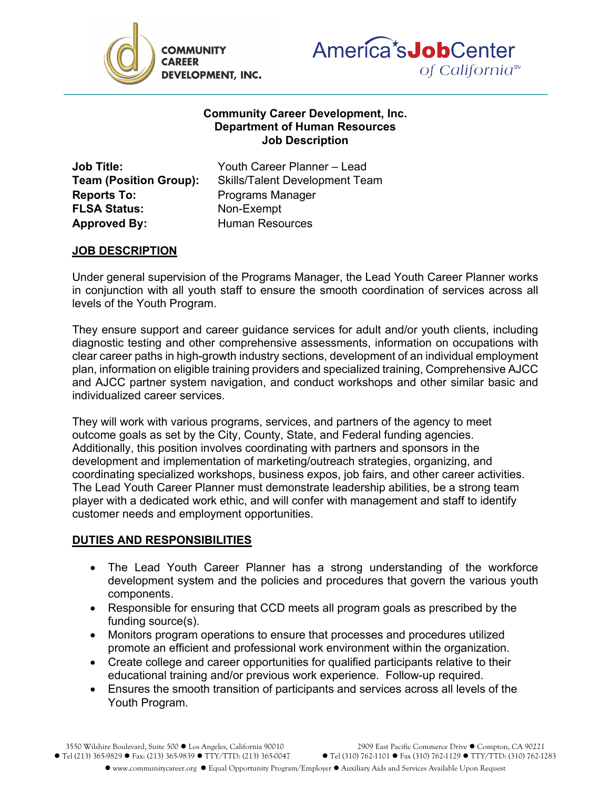



## **Community Career Development, Inc. Department of Human Resources Job Description**

**Reports To:** Programs Manager **FLSA Status:** Non-Exempt **Approved By:** Human Resources

**Job Title:** Youth Career Planner – Lead **Team (Position Group):** Skills/Talent Development Team

## **JOB DESCRIPTION**

Under general supervision of the Programs Manager, the Lead Youth Career Planner works in conjunction with all youth staff to ensure the smooth coordination of services across all levels of the Youth Program.

They ensure support and career guidance services for adult and/or youth clients, including diagnostic testing and other comprehensive assessments, information on occupations with clear career paths in high-growth industry sections, development of an individual employment plan, information on eligible training providers and specialized training, Comprehensive AJCC and AJCC partner system navigation, and conduct workshops and other similar basic and individualized career services.

They will work with various programs, services, and partners of the agency to meet outcome goals as set by the City, County, State, and Federal funding agencies. Additionally, this position involves coordinating with partners and sponsors in the development and implementation of marketing/outreach strategies, organizing, and coordinating specialized workshops, business expos, job fairs, and other career activities. The Lead Youth Career Planner must demonstrate leadership abilities, be a strong team player with a dedicated work ethic, and will confer with management and staff to identify customer needs and employment opportunities.

## **DUTIES AND RESPONSIBILITIES**

- The Lead Youth Career Planner has a strong understanding of the workforce development system and the policies and procedures that govern the various youth components.
- Responsible for ensuring that CCD meets all program goals as prescribed by the funding source(s).
- Monitors program operations to ensure that processes and procedures utilized promote an efficient and professional work environment within the organization.
- Create college and career opportunities for qualified participants relative to their educational training and/or previous work experience. Follow-up required.
- Ensures the smooth transition of participants and services across all levels of the Youth Program.

3550 Wilshire Boulevard, Suite 500 ● Los Angeles, California 90010 2909 East Pacific Commerce Drive ● Compton, CA 90221<br>1283 365-9829 ● Fax: (213) 365-9839 ● TTY/TTD: (213) 365-0047 ● Tel (310) 762-1101 ● Fax (310) 762-11  $\bullet$  Tel (213) 365-9829  $\bullet$  Fax: (213) 365-9839  $\bullet$  TTY/TTD: (213) 365-0047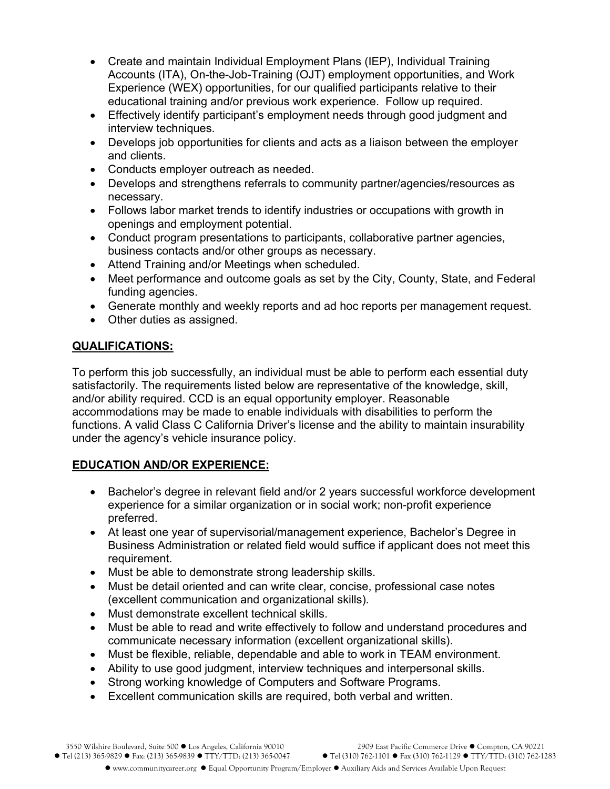- Create and maintain Individual Employment Plans (IEP), Individual Training Accounts (ITA), On-the-Job-Training (OJT) employment opportunities, and Work Experience (WEX) opportunities, for our qualified participants relative to their educational training and/or previous work experience. Follow up required.
- Effectively identify participant's employment needs through good judgment and interview techniques.
- Develops job opportunities for clients and acts as a liaison between the employer and clients.
- Conducts employer outreach as needed.
- Develops and strengthens referrals to community partner/agencies/resources as necessary.
- Follows labor market trends to identify industries or occupations with growth in openings and employment potential.
- Conduct program presentations to participants, collaborative partner agencies, business contacts and/or other groups as necessary.
- Attend Training and/or Meetings when scheduled.
- Meet performance and outcome goals as set by the City, County, State, and Federal funding agencies.
- Generate monthly and weekly reports and ad hoc reports per management request.
- Other duties as assigned.

## **QUALIFICATIONS:**

To perform this job successfully, an individual must be able to perform each essential duty satisfactorily. The requirements listed below are representative of the knowledge, skill, and/or ability required. CCD is an equal opportunity employer. Reasonable accommodations may be made to enable individuals with disabilities to perform the functions. A valid Class C California Driver's license and the ability to maintain insurability under the agency's vehicle insurance policy.

# **EDUCATION AND/OR EXPERIENCE:**

- Bachelor's degree in relevant field and/or 2 years successful workforce development experience for a similar organization or in social work; non-profit experience preferred.
- At least one year of supervisorial/management experience, Bachelor's Degree in Business Administration or related field would suffice if applicant does not meet this requirement.
- Must be able to demonstrate strong leadership skills.
- Must be detail oriented and can write clear, concise, professional case notes (excellent communication and organizational skills).
- Must demonstrate excellent technical skills.
- Must be able to read and write effectively to follow and understand procedures and communicate necessary information (excellent organizational skills).
- Must be flexible, reliable, dependable and able to work in TEAM environment.
- Ability to use good judgment, interview techniques and interpersonal skills.
- Strong working knowledge of Computers and Software Programs.
- Excellent communication skills are required, both verbal and written.